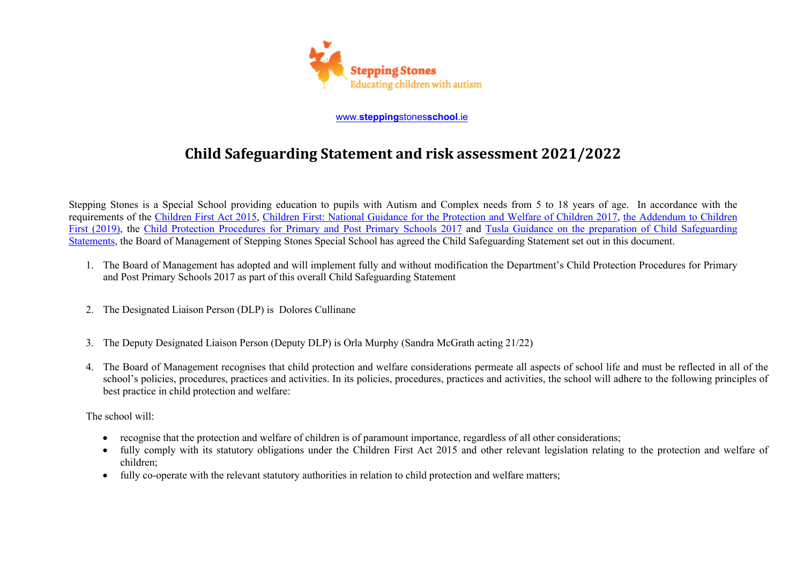

www.**stepping**stones**school**.ie

## **Child Safeguarding Statement and risk assessment 2021/2022**

Stepping Stones is a Special School providing education to pupils with Autism and Complex needs from 5 to 18 years of age. In accordance with the requirements of the Children First Act 2015, Children First: National Guidance for the Protection and Welfare of Children 2017, the Addendum to Children First (2019), the Child Protection Procedures for Primary and Post Primary Schools 2017 and Tusla Guidance on the preparation of Child Safeguarding Statements, the Board of Management of Stepping Stones Special School has agreed the Child Safeguarding Statement set out in this document.

- 1. The Board of Management has adopted and will implement fully and without modification the Department's Child Protection Procedures for Primary and Post Primary Schools 2017 as part of this overall Child Safeguarding Statement
- 2. The Designated Liaison Person (DLP) is Dolores Cullinane
- 3. The Deputy Designated Liaison Person (Deputy DLP) is Orla Murphy (Sandra McGrath acting 21/22)
- 4. The Board of Management recognises that child protection and welfare considerations permeate all aspects of school life and must be reflected in all of the school's policies, procedures, practices and activities. In its policies, procedures, practices and activities, the school will adhere to the following principles of best practice in child protection and welfare:

The school will:

- recognise that the protection and welfare of children is of paramount importance, regardless of all other considerations;
- fully comply with its statutory obligations under the Children First Act 2015 and other relevant legislation relating to the protection and welfare of children;
- fully co-operate with the relevant statutory authorities in relation to child protection and welfare matters;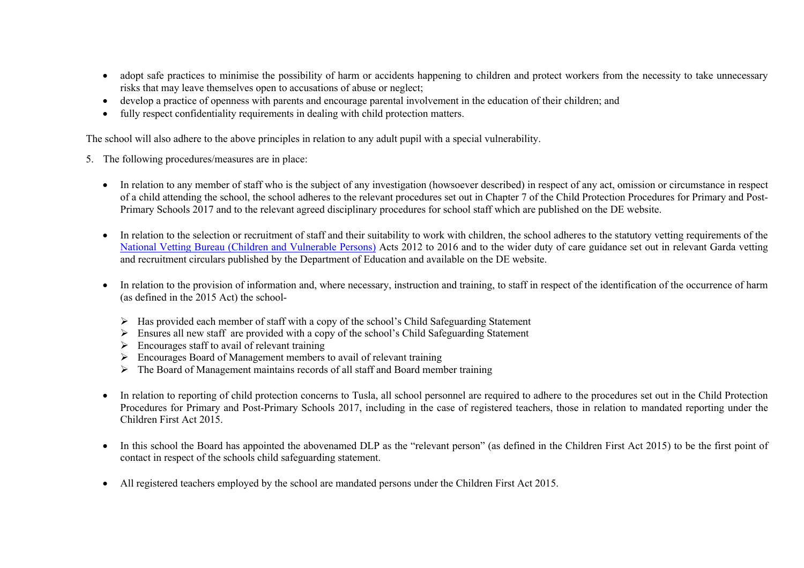- adopt safe practices to minimise the possibility of harm or accidents happening to children and protect workers from the necessity to take unnecessary risks that may leave themselves open to accusations of abuse or neglect;
- develop a practice of openness with parents and encourage parental involvement in the education of their children; and
- fully respect confidentiality requirements in dealing with child protection matters.

The school will also adhere to the above principles in relation to any adult pupil with a special vulnerability.

- 5. The following procedures/measures are in place:
	- In relation to any member of staff who is the subject of any investigation (howsoever described) in respect of any act, omission or circumstance in respect of a child attending the school, the school adheres to the relevant procedures set out in Chapter 7 of the Child Protection Procedures for Primary and Post-Primary Schools 2017 and to the relevant agreed disciplinary procedures for school staff which are published on the DE website.
	- In relation to the selection or recruitment of staff and their suitability to work with children, the school adheres to the statutory vetting requirements of the National Vetting Bureau (Children and Vulnerable Persons) Acts 2012 to 2016 and to the wider duty of care guidance set out in relevant Garda vetting and recruitment circulars published by the Department of Education and available on the DE website.
	- In relation to the provision of information and, where necessary, instruction and training, to staff in respect of the identification of the occurrence of harm (as defined in the 2015 Act) the school-
		- $\triangleright$  Has provided each member of staff with a copy of the school's Child Safeguarding Statement
		- $\triangleright$  Ensures all new staff are provided with a copy of the school's Child Safeguarding Statement
		- $\triangleright$  Encourages staff to avail of relevant training
		- $\triangleright$  Encourages Board of Management members to avail of relevant training
		- $\triangleright$  The Board of Management maintains records of all staff and Board member training
	- In relation to reporting of child protection concerns to Tusla, all school personnel are required to adhere to the procedures set out in the Child Protection Procedures for Primary and Post-Primary Schools 2017, including in the case of registered teachers, those in relation to mandated reporting under the Children First Act 2015.
	- In this school the Board has appointed the abovenamed DLP as the "relevant person" (as defined in the Children First Act 2015) to be the first point of contact in respect of the schools child safeguarding statement.
	- All registered teachers employed by the school are mandated persons under the Children First Act 2015.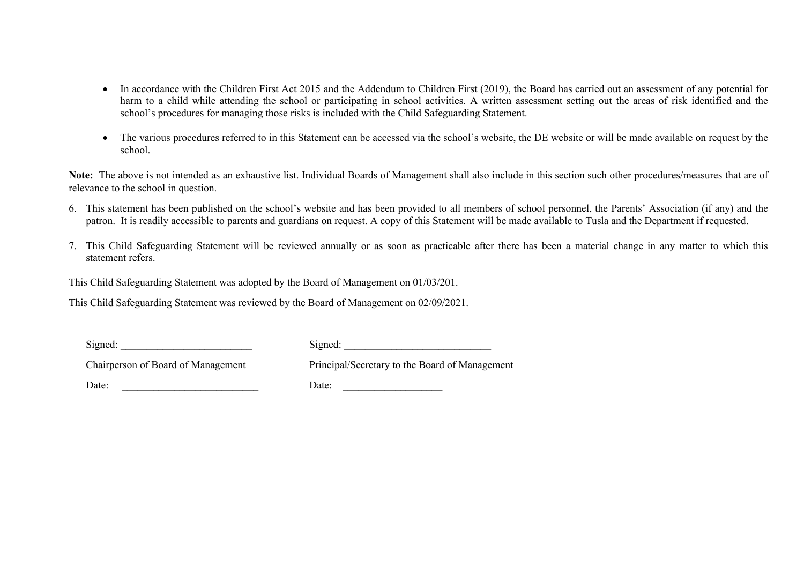- In accordance with the Children First Act 2015 and the Addendum to Children First (2019), the Board has carried out an assessment of any potential for harm to a child while attending the school or participating in school activities. A written assessment setting out the areas of risk identified and the school's procedures for managing those risks is included with the Child Safeguarding Statement.
- The various procedures referred to in this Statement can be accessed via the school's website, the DE website or will be made available on request by the school.

**Note:** The above is not intended as an exhaustive list. Individual Boards of Management shall also include in this section such other procedures/measures that are of relevance to the school in question.

- 6. This statement has been published on the school's website and has been provided to all members of school personnel, the Parents' Association (if any) and the patron. It is readily accessible to parents and guardians on request. A copy of this Statement will be made available to Tusla and the Department if requested.
- 7. This Child Safeguarding Statement will be reviewed annually or as soon as practicable after there has been a material change in any matter to which this statement refers.

This Child Safeguarding Statement was adopted by the Board of Management on 01/03/201.

This Child Safeguarding Statement was reviewed by the Board of Management on 02/09/2021.

| Signed:                            | Signed:                                        |  |
|------------------------------------|------------------------------------------------|--|
| Chairperson of Board of Management | Principal/Secretary to the Board of Management |  |
| Date:                              | Date:                                          |  |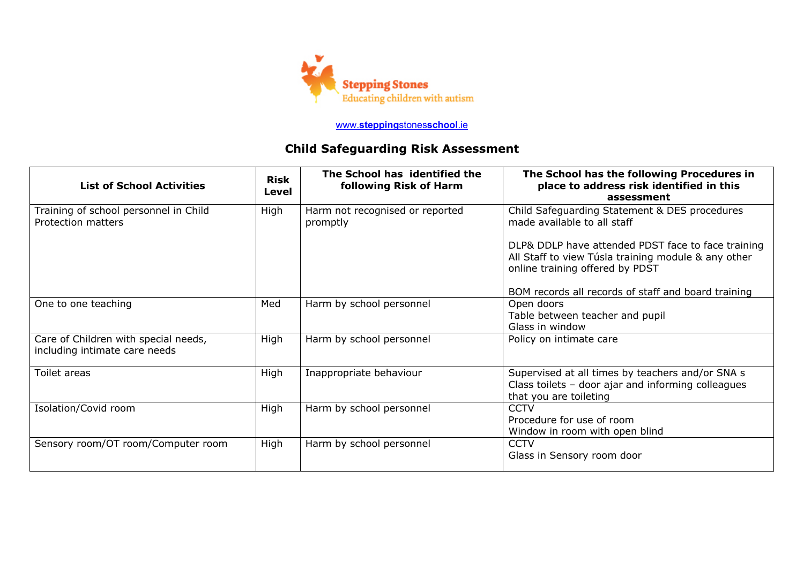

## www.**stepping**stones**school**.ie

## **Child Safeguarding Risk Assessment**

| <b>List of School Activities</b>                                      | <b>Risk</b><br>Level | The School has identified the<br>following Risk of Harm               | The School has the following Procedures in<br>place to address risk identified in this<br>assessment                                                                                                |
|-----------------------------------------------------------------------|----------------------|-----------------------------------------------------------------------|-----------------------------------------------------------------------------------------------------------------------------------------------------------------------------------------------------|
| Training of school personnel in Child<br>Protection matters           | High                 | Harm not recognised or reported<br>promptly                           | Child Safeguarding Statement & DES procedures<br>made available to all staff                                                                                                                        |
|                                                                       |                      |                                                                       | DLP& DDLP have attended PDST face to face training<br>All Staff to view Túsla training module & any other<br>online training offered by PDST<br>BOM records all records of staff and board training |
| One to one teaching                                                   | Med                  | Harm by school personnel                                              | Open doors<br>Table between teacher and pupil<br>Glass in window                                                                                                                                    |
| Care of Children with special needs,<br>including intimate care needs | High                 | Harm by school personnel                                              | Policy on intimate care                                                                                                                                                                             |
| Toilet areas                                                          | High                 | Inappropriate behaviour                                               | Supervised at all times by teachers and/or SNA s<br>Class toilets - door ajar and informing colleagues<br>that you are toileting                                                                    |
| Isolation/Covid room                                                  | High                 | Harm by school personnel                                              | <b>CCTV</b><br>Procedure for use of room<br>Window in room with open blind                                                                                                                          |
| Sensory room/OT room/Computer room                                    | High                 | <b>CCTV</b><br>Harm by school personnel<br>Glass in Sensory room door |                                                                                                                                                                                                     |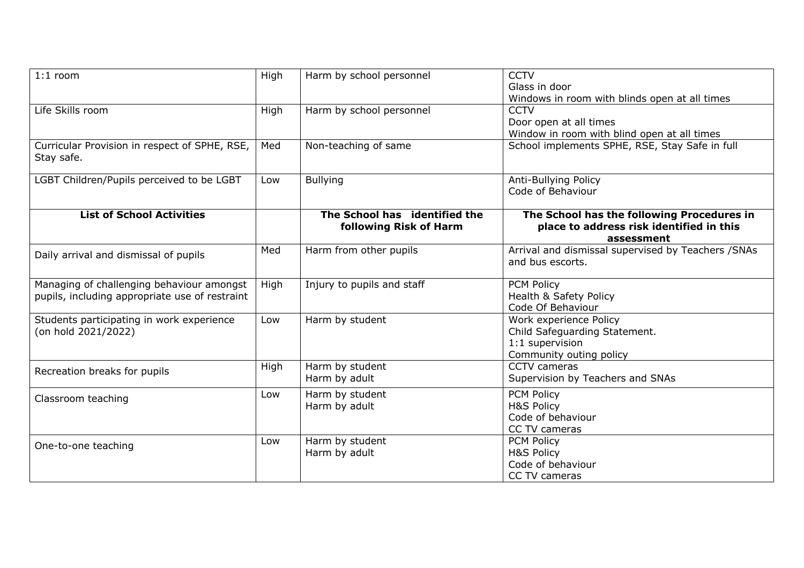| $1:1$ room                                                                                  | High | <b>CCTV</b><br>Harm by school personnel<br>Glass in door<br>Windows in room with blinds open at all times |                                                                                                       |
|---------------------------------------------------------------------------------------------|------|-----------------------------------------------------------------------------------------------------------|-------------------------------------------------------------------------------------------------------|
| Life Skills room                                                                            | High | Harm by school personnel                                                                                  | <b>CCTV</b><br>Door open at all times<br>Window in room with blind open at all times                  |
| Curricular Provision in respect of SPHE, RSE,<br>Stay safe.                                 | Med  | Non-teaching of same                                                                                      | School implements SPHE, RSE, Stay Safe in full                                                        |
| LGBT Children/Pupils perceived to be LGBT                                                   | Low  | <b>Bullying</b><br>Anti-Bullying Policy<br>Code of Behaviour                                              |                                                                                                       |
| <b>List of School Activities</b>                                                            |      | The School has identified the<br>following Risk of Harm                                                   | The School has the following Procedures in<br>place to address risk identified in this<br>assessment  |
| Daily arrival and dismissal of pupils                                                       | Med  | Harm from other pupils                                                                                    | Arrival and dismissal supervised by Teachers / SNAs<br>and bus escorts.                               |
| Managing of challenging behaviour amongst<br>pupils, including appropriate use of restraint | High | Injury to pupils and staff                                                                                | <b>PCM Policy</b><br>Health & Safety Policy<br>Code Of Behaviour                                      |
| Students participating in work experience<br>(on hold 2021/2022)                            | Low  | Harm by student                                                                                           | Work experience Policy<br>Child Safeguarding Statement.<br>1:1 supervision<br>Community outing policy |
| Recreation breaks for pupils                                                                | High | Harm by student<br>Harm by adult                                                                          | CCTV cameras<br>Supervision by Teachers and SNAs                                                      |
| Classroom teaching                                                                          | Low  | Harm by student<br>Harm by adult                                                                          | <b>PCM Policy</b><br><b>H&amp;S Policy</b><br>Code of behaviour<br>CC TV cameras                      |
| One-to-one teaching                                                                         | Low  | Harm by student<br>Harm by adult                                                                          | <b>PCM Policy</b><br><b>H&amp;S Policy</b><br>Code of behaviour<br>CC TV cameras                      |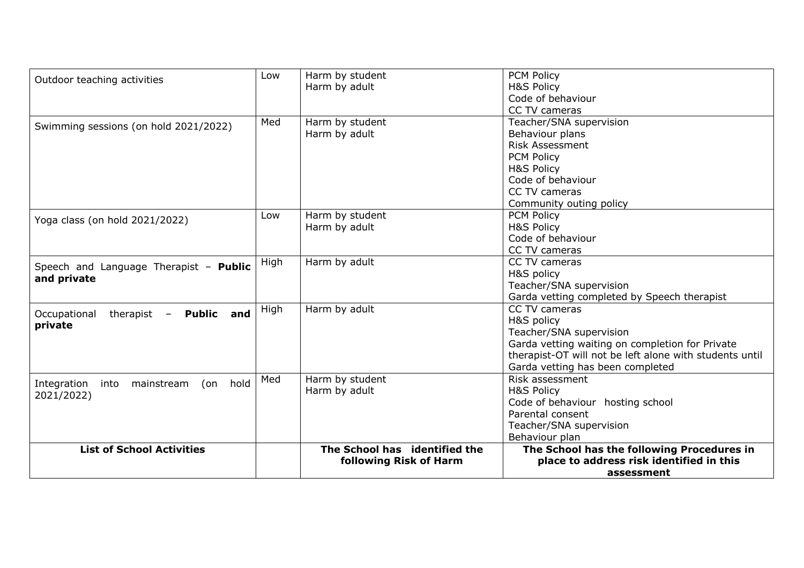| Outdoor teaching activities                   | Low  | Harm by student               | <b>PCM Policy</b>                                       |
|-----------------------------------------------|------|-------------------------------|---------------------------------------------------------|
|                                               |      | Harm by adult                 | <b>H&amp;S Policy</b>                                   |
|                                               |      |                               | Code of behaviour                                       |
|                                               |      |                               | CC TV cameras                                           |
| Swimming sessions (on hold 2021/2022)         | Med  | Harm by student               | Teacher/SNA supervision                                 |
|                                               |      | Harm by adult                 | Behaviour plans                                         |
|                                               |      |                               | <b>Risk Assessment</b>                                  |
|                                               |      |                               | <b>PCM Policy</b>                                       |
|                                               |      |                               | H&S Policy                                              |
|                                               |      |                               | Code of behaviour                                       |
|                                               |      |                               | CC TV cameras                                           |
|                                               |      |                               | Community outing policy                                 |
| Yoga class (on hold 2021/2022)                | Low  | Harm by student               | <b>PCM Policy</b>                                       |
|                                               |      | Harm by adult                 | H&S Policy                                              |
|                                               |      |                               | Code of behaviour                                       |
|                                               |      |                               | CC TV cameras                                           |
| Speech and Language Therapist - Public        | High | Harm by adult                 | CC TV cameras                                           |
| and private                                   |      |                               | H&S policy                                              |
|                                               |      |                               | Teacher/SNA supervision                                 |
|                                               |      |                               | Garda vetting completed by Speech therapist             |
| therapist - Public and<br>Occupational        | High | Harm by adult                 | CC TV cameras                                           |
| private                                       |      |                               | H&S policy                                              |
|                                               |      |                               | Teacher/SNA supervision                                 |
|                                               |      |                               | Garda vetting waiting on completion for Private         |
|                                               |      |                               | therapist-OT will not be left alone with students until |
|                                               |      |                               | Garda vetting has been completed                        |
| hold<br>Integration<br>into mainstream<br>(on | Med  | Harm by student               | Risk assessment                                         |
| 2021/2022)                                    |      | Harm by adult                 | <b>H&amp;S Policy</b>                                   |
|                                               |      |                               | Code of behaviour hosting school                        |
|                                               |      |                               | Parental consent                                        |
|                                               |      |                               | Teacher/SNA supervision                                 |
|                                               |      |                               | Behaviour plan                                          |
| <b>List of School Activities</b>              |      | The School has identified the | The School has the following Procedures in              |
|                                               |      | following Risk of Harm        | place to address risk identified in this                |
|                                               |      |                               | assessment                                              |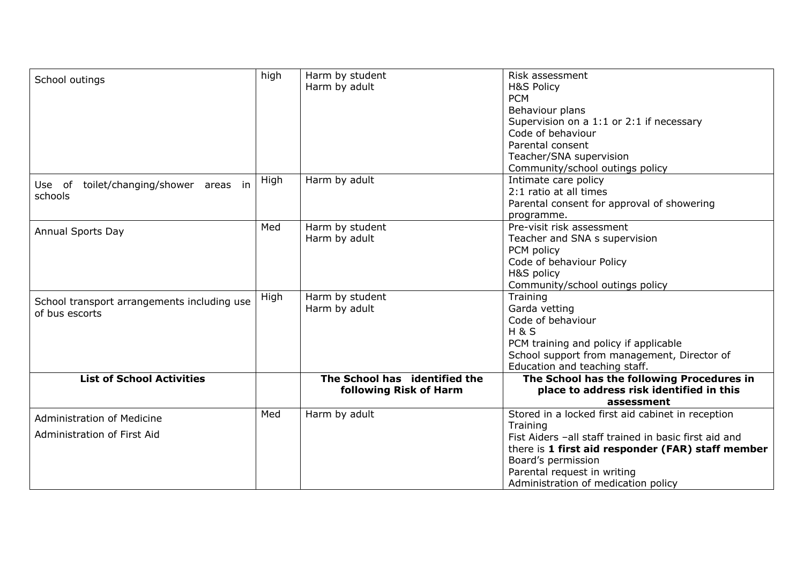| School outings                                                   | high | Harm by student<br>Harm by adult                        | Risk assessment<br><b>H&amp;S Policy</b><br><b>PCM</b><br>Behaviour plans<br>Supervision on a 1:1 or 2:1 if necessary<br>Code of behaviour<br>Parental consent<br>Teacher/SNA supervision<br>Community/school outings policy                                            |
|------------------------------------------------------------------|------|---------------------------------------------------------|-------------------------------------------------------------------------------------------------------------------------------------------------------------------------------------------------------------------------------------------------------------------------|
| toilet/changing/shower areas in<br>Use of<br>schools             | High | Harm by adult                                           | Intimate care policy<br>2:1 ratio at all times<br>Parental consent for approval of showering<br>programme.                                                                                                                                                              |
| Annual Sports Day                                                | Med  | Harm by student<br>Harm by adult                        | Pre-visit risk assessment<br>Teacher and SNA s supervision<br>PCM policy<br>Code of behaviour Policy<br>H&S policy<br>Community/school outings policy                                                                                                                   |
| School transport arrangements including use<br>of bus escorts    | High | Harm by student<br>Harm by adult                        | Training<br>Garda vetting<br>Code of behaviour<br><b>H&amp;S</b><br>PCM training and policy if applicable<br>School support from management, Director of<br>Education and teaching staff.                                                                               |
| <b>List of School Activities</b>                                 |      | The School has identified the<br>following Risk of Harm | The School has the following Procedures in<br>place to address risk identified in this<br>assessment                                                                                                                                                                    |
| <b>Administration of Medicine</b><br>Administration of First Aid | Med  | Harm by adult                                           | Stored in a locked first aid cabinet in reception<br>Training<br>Fist Aiders -all staff trained in basic first aid and<br>there is 1 first aid responder (FAR) staff member<br>Board's permission<br>Parental request in writing<br>Administration of medication policy |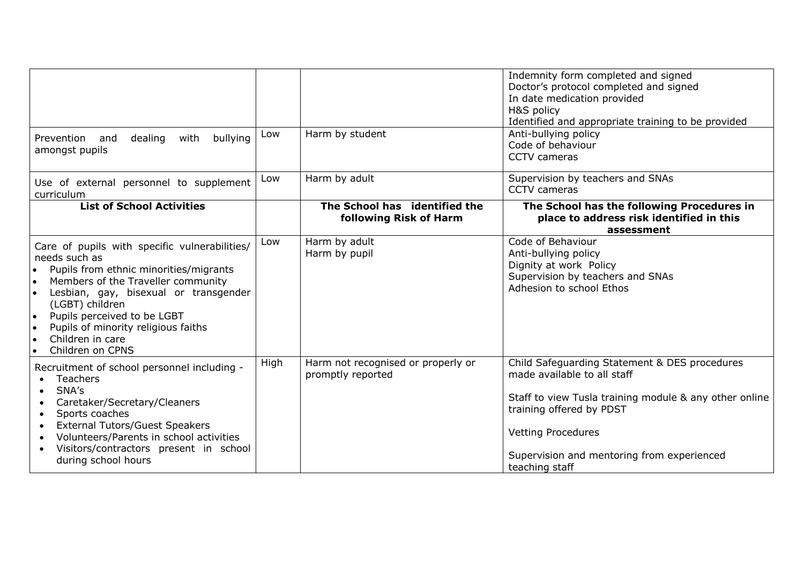|                                                                                                                                                                                                                                                                                                                                                                                                                     |      |                                                         | Indemnity form completed and signed<br>Doctor's protocol completed and signed<br>In date medication provided<br>H&S policy<br>Identified and appropriate training to be provided                                                                                |
|---------------------------------------------------------------------------------------------------------------------------------------------------------------------------------------------------------------------------------------------------------------------------------------------------------------------------------------------------------------------------------------------------------------------|------|---------------------------------------------------------|-----------------------------------------------------------------------------------------------------------------------------------------------------------------------------------------------------------------------------------------------------------------|
| Prevention and<br>dealing<br>bullying<br>with<br>amongst pupils                                                                                                                                                                                                                                                                                                                                                     | Low  | Harm by student                                         | Anti-bullying policy<br>Code of behaviour<br><b>CCTV</b> cameras                                                                                                                                                                                                |
| Use of external personnel to supplement<br>curriculum                                                                                                                                                                                                                                                                                                                                                               | Low  | Harm by adult                                           | Supervision by teachers and SNAs<br>CCTV cameras                                                                                                                                                                                                                |
| <b>List of School Activities</b>                                                                                                                                                                                                                                                                                                                                                                                    |      | The School has identified the<br>following Risk of Harm | The School has the following Procedures in<br>place to address risk identified in this<br>assessment                                                                                                                                                            |
| Care of pupils with specific vulnerabilities/<br>needs such as<br>Pupils from ethnic minorities/migrants<br>$\bullet$<br>Members of the Traveller community<br>$\bullet$<br>Lesbian, gay, bisexual or transgender<br>$\bullet$<br>(LGBT) children<br>Pupils perceived to be LGBT<br>$\bullet$<br>Pupils of minority religious faiths<br>$\bullet$<br>Children in care<br>$\bullet$<br>Children on CPNS<br>$\bullet$ | Low  | Harm by adult<br>Harm by pupil                          | Code of Behaviour<br>Anti-bullying policy<br>Dignity at work Policy<br>Supervision by teachers and SNAs<br>Adhesion to school Ethos                                                                                                                             |
| Recruitment of school personnel including -<br><b>Teachers</b><br>$\bullet$<br>SNA's<br>$\bullet$<br>Caretaker/Secretary/Cleaners<br>$\bullet$<br>Sports coaches<br>$\bullet$<br><b>External Tutors/Guest Speakers</b><br>$\bullet$<br>Volunteers/Parents in school activities<br>$\bullet$<br>Visitors/contractors present in school<br>$\bullet$<br>during school hours                                           | High | Harm not recognised or properly or<br>promptly reported | Child Safeguarding Statement & DES procedures<br>made available to all staff<br>Staff to view Tusla training module & any other online<br>training offered by PDST<br><b>Vetting Procedures</b><br>Supervision and mentoring from experienced<br>teaching staff |